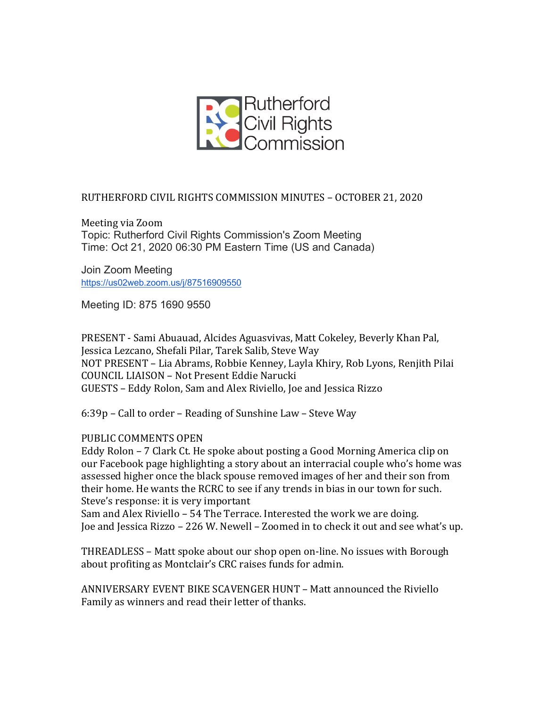

## RUTHERFORD CIVIL RIGHTS COMMISSION MINUTES - OCTOBER 21, 2020

Meeting via Zoom Topic: Rutherford Civil Rights Commission's Zoom Meeting Time: Oct 21, 2020 06:30 PM Eastern Time (US and Canada)

Join Zoom Meeting https://us02web.zoom.us/j/87516909550

Meeting ID: 875 1690 9550

PRESENT - Sami Abuauad, Alcides Aguasvivas, Matt Cokeley, Beverly Khan Pal, Jessica Lezcano, Shefali Pilar, Tarek Salib, Steve Way NOT PRESENT - Lia Abrams, Robbie Kenney, Layla Khiry, Rob Lyons, Renjith Pilai COUNCIL LIAISON - Not Present Eddie Narucki GUESTS - Eddy Rolon, Sam and Alex Riviello, Joe and Jessica Rizzo

 $6:39p$  – Call to order – Reading of Sunshine Law – Steve Way

## PUBLIC COMMENTS OPEN

Eddy Rolon – 7 Clark Ct. He spoke about posting a Good Morning America clip on our Facebook page highlighting a story about an interracial couple who's home was assessed higher once the black spouse removed images of her and their son from their home. He wants the RCRC to see if any trends in bias in our town for such. Steve's response: it is very important

Sam and Alex Riviello - 54 The Terrace. Interested the work we are doing. Joe and Jessica Rizzo – 226 W. Newell – Zoomed in to check it out and see what's up.

THREADLESS – Matt spoke about our shop open on-line. No issues with Borough about profiting as Montclair's CRC raises funds for admin.

ANNIVERSARY EVENT BIKE SCAVENGER HUNT – Matt announced the Riviello Family as winners and read their letter of thanks.